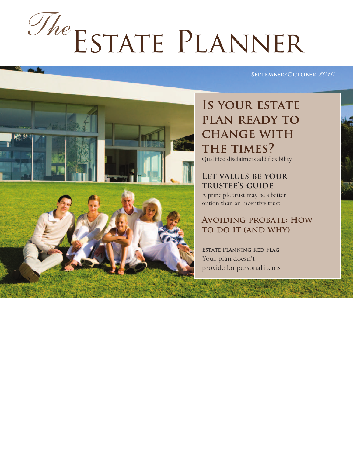# Estate Planner *The*

#### **September/October** *2010*

## IS YOUR ESTATE **plan ready to change with THE TIMES?**

Qualified disclaimers add flexibility

**Let values be your trustee's guide** A principle trust may be a better option than an incentive trust

#### **Avoiding probate: How to do it (and why)**

**Estate Planning Red Flag** Your plan doesn't provide for personal items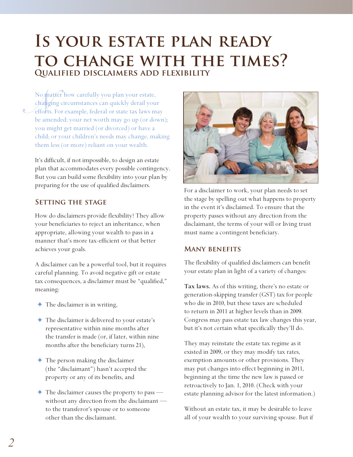## **Is your estate plan ready to change with the times? Qualified disclaimers add flexibility**

No ma<br>changí<br>efforts.<br>be ame No matter how carefully you plan your estate, changing circumstances can quickly derail your efforts. For example, federal or state tax laws may be amended; your net worth may go up (or down); you might get married (or divorced) or have a child; or your children's needs may change, making them less (or more) reliant on your wealth.

It's difficult, if not impossible, to design an estate plan that accommodates every possible contingency. But you can build some flexibility into your plan by preparing for the use of qualified disclaimers.

#### **Setting the stage**

How do disclaimers provide flexibility? They allow your beneficiaries to reject an inheritance, when appropriate, allowing your wealth to pass in a manner that's more tax-efficient or that better achieves your goals.

A disclaimer can be a powerful tool, but it requires careful planning. To avoid negative gift or estate tax consequences, a disclaimer must be "qualified," meaning:

- $\triangleleft$  The disclaimer is in writing,
- ✦ The disclaimer is delivered to your estate's representative within nine months after the transfer is made (or, if later, within nine months after the beneficiary turns 21),
- ✦ The person making the disclaimer (the "disclaimant") hasn't accepted the property or any of its benefits, and
- $\blacklozenge$  The disclaimer causes the property to pass without any direction from the disclaimant to the transferor's spouse or to someone other than the disclaimant.



For a disclaimer to work, your plan needs to set the stage by spelling out what happens to property in the event it's disclaimed. To ensure that the property passes without any direction from the disclaimant, the terms of your will or living trust must name a contingent beneficiary.

#### **Many benefits**

The flexibility of qualified disclaimers can benefit your estate plan in light of a variety of changes:

**Tax laws.** As of this writing, there's no estate or generation-skipping transfer (GST) tax for people who die in 2010, but these taxes are scheduled to return in 2011 at higher levels than in 2009. Congress may pass estate tax law changes this year, but it's not certain what specifically they'll do.

They may reinstate the estate tax regime as it existed in 2009, or they may modify tax rates, exemption amounts or other provisions. They may put changes into effect beginning in 2011, beginning at the time the new law is passed or retroactively to Jan. 1, 2010. (Check with your estate planning advisor for the latest information.)

Without an estate tax, it may be desirable to leave all of your wealth to your surviving spouse. But if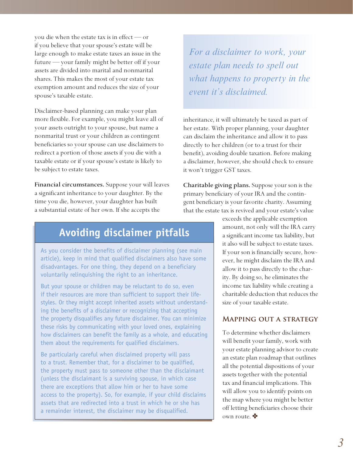you die when the estate tax is in effect — or if you believe that your spouse's estate will be large enough to make estate taxes an issue in the future — your family might be better off if your assets are divided into marital and nonmarital shares. This makes the most of your estate tax exemption amount and reduces the size of your spouse's taxable estate.

Disclaimer-based planning can make your plan more flexible. For example, you might leave all of your assets outright to your spouse, but name a nonmarital trust or your children as contingent beneficiaries so your spouse can use disclaimers to redirect a portion of those assets if you die with a taxable estate or if your spouse's estate is likely to be subject to estate taxes.

**Financial circumstances.** Suppose your will leaves a significant inheritance to your daughter. By the time you die, however, your daughter has built a substantial estate of her own. If she accepts the

### **Avoiding disclaimer pitfalls**

As you consider the benefits of disclaimer planning (see main article), keep in mind that qualified disclaimers also have some disadvantages. For one thing, they depend on a beneficiary voluntarily relinquishing the right to an inheritance.

But your spouse or children may be reluctant to do so, even if their resources are more than sufficient to support their lifestyles. Or they might accept inherited assets without understanding the benefits of a disclaimer or recognizing that accepting the property disqualifies any future disclaimer. You can minimize these risks by communicating with your loved ones, explaining how disclaimers can benefit the family as a whole, and educating them about the requirements for qualified disclaimers.

Be particularly careful when disclaimed property will pass to a trust. Remember that, for a disclaimer to be qualified, the property must pass to someone other than the disclaimant (unless the disclaimant is a surviving spouse, in which case there are exceptions that allow him or her to have some access to the property). So, for example, if your child disclaims assets that are redirected into a trust in which he or she has a remainder interest, the disclaimer may be disqualified.

*For a disclaimer to work, your estate plan needs to spell out what happens to property in the event it's disclaimed.*

inheritance, it will ultimately be taxed as part of her estate. With proper planning, your daughter can disclaim the inheritance and allow it to pass directly to her children (or to a trust for their benefit), avoiding double taxation. Before making a disclaimer, however, she should check to ensure it won't trigger GST taxes.

**Charitable giving plans.** Suppose your son is the primary beneficiary of your IRA and the contingent beneficiary is your favorite charity. Assuming that the estate tax is revived and your estate's value

> exceeds the applicable exemption amount, not only will the IRA carry a significant income tax liability, but it also will be subject to estate taxes. If your son is financially secure, however, he might disclaim the IRA and allow it to pass directly to the charity. By doing so, he eliminates the income tax liability while creating a charitable deduction that reduces the size of your taxable estate.

#### **Mapping out a strategy**

To determine whether disclaimers will benefit your family, work with your estate planning advisor to create an estate plan roadmap that outlines all the potential dispositions of your assets together with the potential tax and financial implications. This will allow you to identify points on the map where you might be better off letting beneficiaries choose their own route.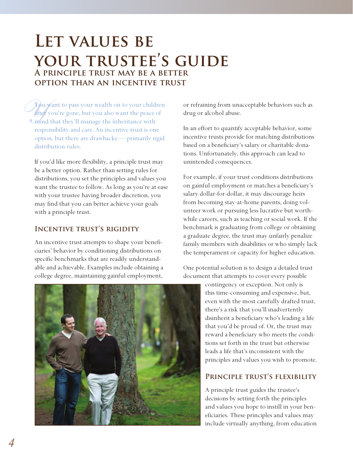## **Let values be your trustee's guide A principle trust may be a better option than an incentive trust**

*You want to pass your wealth on to your children*<br>**after** you're gone, but you also want the peace of<br>**All contains to the interior with**<br>responsibility and care. An incentive trust is one after you're gone, but you also want the peace of **Comind that they'll manage the inheritance with** responsibility and care. An incentive trust is one option, but there are drawbacks — primarily rigid distribution rules.

If you'd like more flexibility, a principle trust may be a better option. Rather than setting rules for distributions, you set the principles and values you want the trustee to follow. As long as you're at ease with your trustee having broader discretion, you may find that you can better achieve your goals with a principle trust.

#### **Incentive trust's rigidity**

An incentive trust attempts to shape your beneficiaries' behavior by conditioning distributions on specific benchmarks that are readily understandable and achievable. Examples include obtaining a college degree, maintaining gainful employment,

or refraining from unacceptable behaviors such as drug or alcohol abuse.

In an effort to quantify acceptable behavior, some incentive trusts provide for matching distributions based on a beneficiary's salary or charitable donations. Unfortunately, this approach can lead to unintended consequences.

For example, if your trust conditions distributions on gainful employment or matches a beneficiary's salary dollar-for-dollar, it may discourage heirs from becoming stay-at-home parents, doing volunteer work or pursuing less lucrative but worthwhile careers, such as teaching or social work. If the benchmark is graduating from college or obtaining a graduate degree, the trust may unfairly penalize family members with disabilities or who simply lack the temperament or capacity for higher education.

One potential solution is to design a detailed trust document that attempts to cover every possible

> contingency or exception. Not only is this time-consuming and expensive, but, even with the most carefully drafted trust, there's a risk that you'll inadvertently disinherit a beneficiary who's leading a life that you'd be proud of. Or, the trust may reward a beneficiary who meets the conditions set forth in the trust but otherwise leads a life that's inconsistent with the principles and values you wish to promote.

#### **Principle trust's flexibility**

A principle trust guides the trustee's decisions by setting forth the principles and values you hope to instill in your beneficiaries. These principles and values may include virtually anything, from education

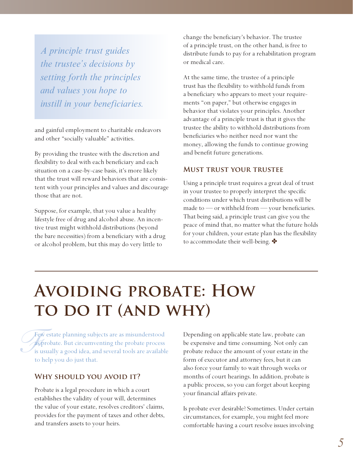*A principle trust guides the trustee's decisions by setting forth the principles and values you hope to instill in your beneficiaries.*

and gainful employment to charitable endeavors and other "socially valuable" activities.

By providing the trustee with the discretion and flexibility to deal with each beneficiary and each situation on a case-by-case basis, it's more likely that the trust will reward behaviors that are consistent with your principles and values and discourage those that are not.

Suppose, for example, that you value a healthy lifestyle free of drug and alcohol abuse. An incentive trust might withhold distributions (beyond the bare necessities) from a beneficiary with a drug or alcohol problem, but this may do very little to

change the beneficiary's behavior. The trustee of a principle trust, on the other hand, is free to distribute funds to pay for a rehabilitation program or medical care.

At the same time, the trustee of a principle trust has the flexibility to withhold funds from a beneficiary who appears to meet your requirements "on paper," but otherwise engages in behavior that violates your principles. Another advantage of a principle trust is that it gives the trustee the ability to withhold distributions from beneficiaries who neither need nor want the money, allowing the funds to continue growing and benefit future generations.

#### **Must trust your trustee**

Using a principle trust requires a great deal of trust in your trustee to properly interpret the specific conditions under which trust distributions will be made to — or withheld from — your beneficiaries. That being said, a principle trust can give you the peace of mind that, no matter what the future holds for your children, your estate plan has the flexibility to accommodate their well-being.  $\clubsuit$ 

## **Avoiding probate: How**  TO DO IT (AND WHY)

 $\int_{\frac{1}{5}}^{\frac{1}{5}}$ Few estate planning subjects are as misunderstood as probate. But circumventing the probate process is usually a good idea, and several tools are available to help you do just that.

#### **Why should you avoid it?**

Probate is a legal procedure in which a court establishes the validity of your will, determines the value of your estate, resolves creditors' claims, provides for the payment of taxes and other debts, and transfers assets to your heirs.

Depending on applicable state law, probate can be expensive and time consuming. Not only can probate reduce the amount of your estate in the form of executor and attorney fees, but it can also force your family to wait through weeks or months of court hearings. In addition, probate is a public process, so you can forget about keeping your financial affairs private.

Is probate ever desirable? Sometimes. Under certain circumstances, for example, you might feel more comfortable having a court resolve issues involving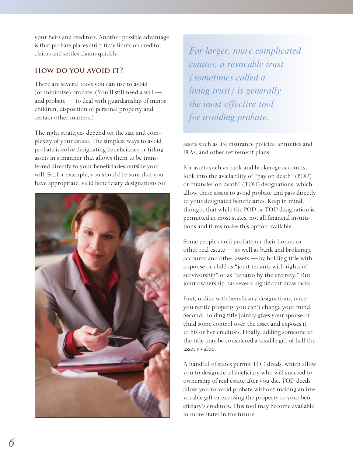your heirs and creditors. Another possible advantage is that probate places strict time limits on creditor claims and settles claims quickly.

#### **How do you avoid it?**

There are several tools you can use to avoid (or minimize) probate. (You'll still need a will and probate — to deal with guardianship of minor children, disposition of personal property and certain other matters.)

The right strategies depend on the size and complexity of your estate. The simplest ways to avoid probate involve designating beneficiaries or titling assets in a manner that allows them to be transferred directly to your beneficiaries outside your will. So, for example, you should be sure that you have appropriate, valid beneficiary designations for



*For larger, more complicated estates, a revocable trust (sometimes called a living trust) is generally the most effective tool for avoiding probate.*

assets such as life insurance policies, annuities and IRAs, and other retirement plans.

For assets such as bank and brokerage accounts, look into the availability of "pay on death" (POD) or "transfer on death" (TOD) designations, which allow these assets to avoid probate and pass directly to your designated beneficiaries. Keep in mind, though, that while the POD or TOD designation is permitted in most states, not all financial institutions and firms make this option available.

Some people avoid probate on their homes or other real estate — as well as bank and brokerage accounts and other assets — by holding title with a spouse or child as "joint tenants with rights of survivorship" or as "tenants by the entirety." But joint ownership has several significant drawbacks.

First, unlike with beneficiary designations, once you retitle property you can't change your mind. Second, holding title jointly gives your spouse or child some control over the asset and exposes it to his or her creditors. Finally, adding someone to the title may be considered a taxable gift of half the asset's value.

A handful of states permit TOD deeds, which allow you to designate a beneficiary who will succeed to ownership of real estate after you die. TOD deeds allow you to avoid probate without making an irrevocable gift or exposing the property to your beneficiary's creditors. This tool may become available in more states in the future.